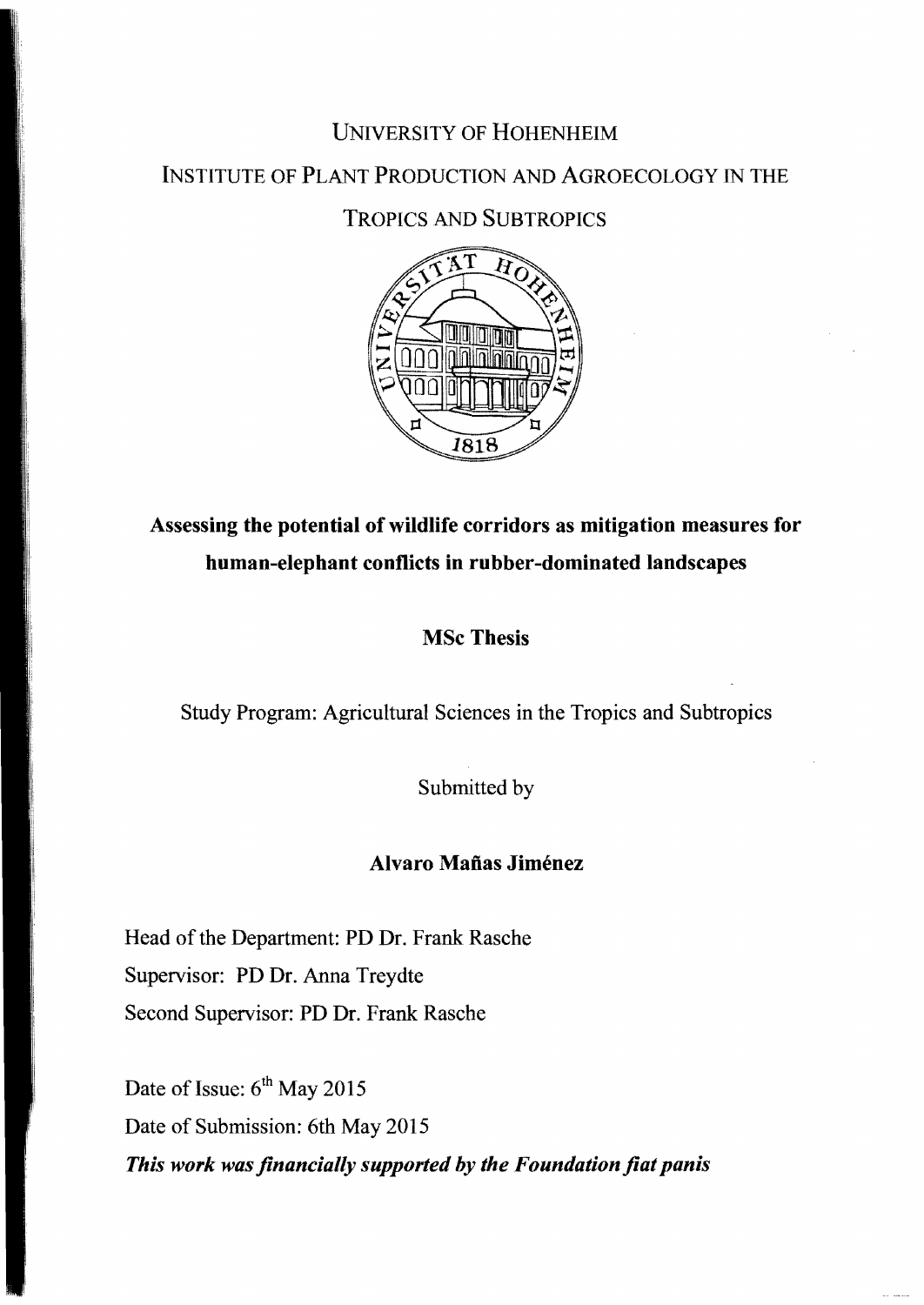# UNIVERSITY OF HOHENHEIM

# INSTITUTE OF PLANT PRODUCTION AND AGROECOLOGY IN THE

# TROPICS AND SUBTROPICS



# Assessing the potential of wildlife corridors as mitigation measures for human-elephant conflicts **in** rubber-dominated landscapes

## MSc Thesis

Study Program: Agricultural Sciences in the Tropics and Subtropics

Submitted by

### Alvaro Mañas Jiménez

Head of the Department: PD Dr. Frank Rasche Supervisor: PD Dr. Anna Treydte Second Supervisor: PD Dr. Frank Rasche

Date of Issue:  $6<sup>th</sup>$  May 2015 Date of Submission: 6th May 2015 *This work was flnancially supported by the Foundation flat panis*